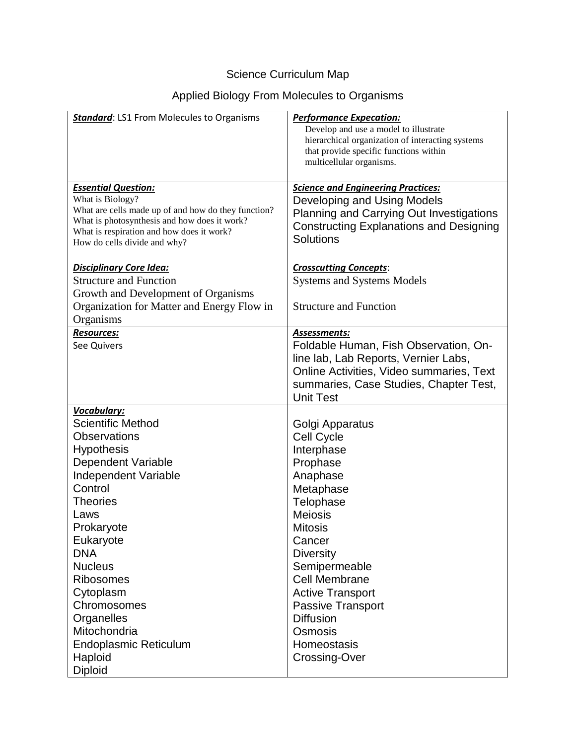# Science Curriculum Map

# Applied Biology From Molecules to Organisms

| <b>Standard:</b> LS1 From Molecules to Organisms                                                                                                                                                                                                                                                                                                                              | <b>Performance Expecation:</b><br>Develop and use a model to illustrate<br>hierarchical organization of interacting systems<br>that provide specific functions within<br>multicellular organisms.                                                                                                                                     |
|-------------------------------------------------------------------------------------------------------------------------------------------------------------------------------------------------------------------------------------------------------------------------------------------------------------------------------------------------------------------------------|---------------------------------------------------------------------------------------------------------------------------------------------------------------------------------------------------------------------------------------------------------------------------------------------------------------------------------------|
| <b>Essential Question:</b><br>What is Biology?<br>What are cells made up of and how do they function?<br>What is photosynthesis and how does it work?<br>What is respiration and how does it work?<br>How do cells divide and why?                                                                                                                                            | <b>Science and Engineering Practices:</b><br>Developing and Using Models<br>Planning and Carrying Out Investigations<br><b>Constructing Explanations and Designing</b><br>Solutions                                                                                                                                                   |
| <b>Disciplinary Core Idea:</b><br><b>Structure and Function</b><br>Growth and Development of Organisms<br>Organization for Matter and Energy Flow in<br>Organisms                                                                                                                                                                                                             | <b>Crosscutting Concepts:</b><br><b>Systems and Systems Models</b><br><b>Structure and Function</b>                                                                                                                                                                                                                                   |
| <b>Resources:</b><br>See Quivers                                                                                                                                                                                                                                                                                                                                              | Assessments:<br>Foldable Human, Fish Observation, On-<br>line lab, Lab Reports, Vernier Labs,<br>Online Activities, Video summaries, Text<br>summaries, Case Studies, Chapter Test,<br><b>Unit Test</b>                                                                                                                               |
| Vocabulary:<br><b>Scientific Method</b><br><b>Observations</b><br><b>Hypothesis</b><br>Dependent Variable<br><b>Independent Variable</b><br>Control<br><b>Theories</b><br>Laws<br>Prokaryote<br>Eukaryote<br><b>DNA</b><br><b>Nucleus</b><br><b>Ribosomes</b><br>Cytoplasm<br>Chromosomes<br>Organelles<br>Mitochondria<br>Endoplasmic Reticulum<br>Haploid<br><b>Diploid</b> | Golgi Apparatus<br>Cell Cycle<br>Interphase<br>Prophase<br>Anaphase<br>Metaphase<br>Telophase<br><b>Meiosis</b><br><b>Mitosis</b><br>Cancer<br><b>Diversity</b><br>Semipermeable<br><b>Cell Membrane</b><br><b>Active Transport</b><br><b>Passive Transport</b><br><b>Diffusion</b><br>Osmosis<br><b>Homeostasis</b><br>Crossing-Over |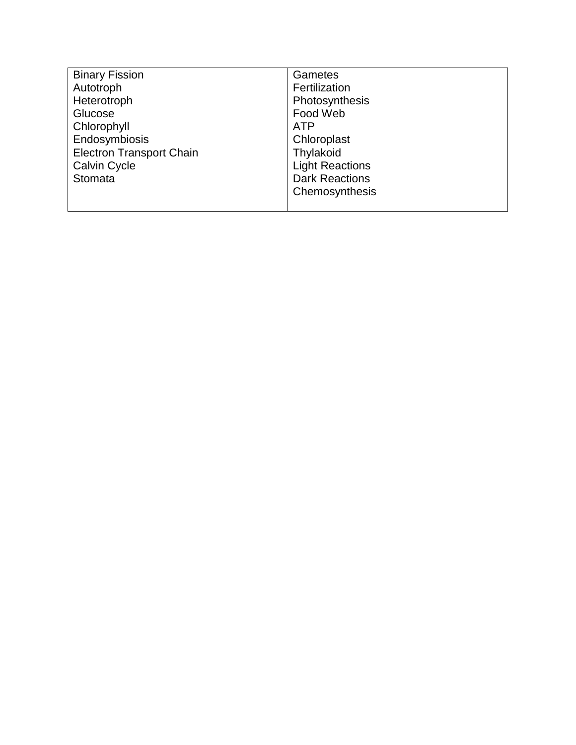| <b>Binary Fission</b>           | Gametes                |
|---------------------------------|------------------------|
| Autotroph                       | Fertilization          |
| Heterotroph                     | Photosynthesis         |
| Glucose                         | Food Web               |
| Chlorophyll                     | <b>ATP</b>             |
| Endosymbiosis                   | Chloroplast            |
| <b>Electron Transport Chain</b> | Thylakoid              |
| <b>Calvin Cycle</b>             | <b>Light Reactions</b> |
| Stomata                         | <b>Dark Reactions</b>  |
|                                 | Chemosynthesis         |
|                                 |                        |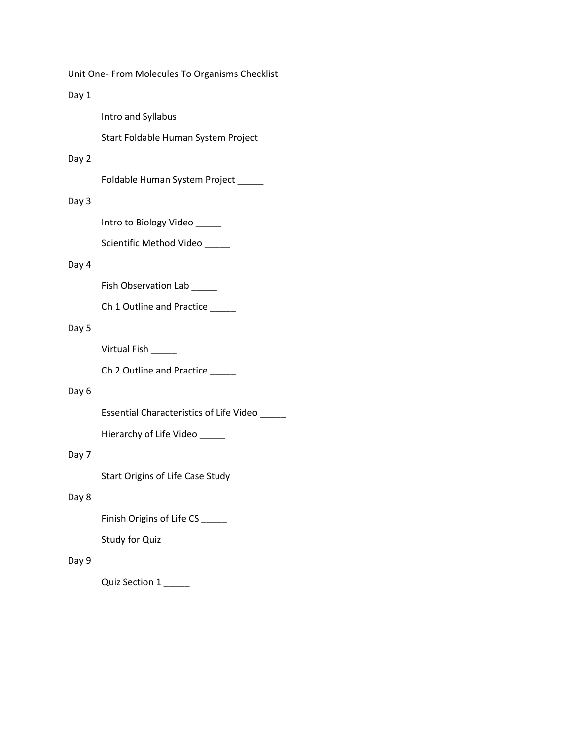Unit One- From Molecules To Organisms Checklist

# Day 1

Intro and Syllabus

Start Foldable Human System Project

### Day 2

Foldable Human System Project \_\_\_\_\_

## Day 3

Intro to Biology Video \_\_\_\_\_

Scientific Method Video \_\_\_\_\_

# Day 4

Fish Observation Lab \_\_\_\_\_

Ch 1 Outline and Practice \_\_\_\_\_

# Day 5

Virtual Fish \_\_\_\_\_

Ch 2 Outline and Practice \_\_\_\_\_

# Day 6

Essential Characteristics of Life Video \_\_\_\_\_

Hierarchy of Life Video \_\_\_\_\_

# Day 7

Start Origins of Life Case Study

# Day 8

Finish Origins of Life CS \_\_\_\_\_

Study for Quiz

# Day 9

Quiz Section 1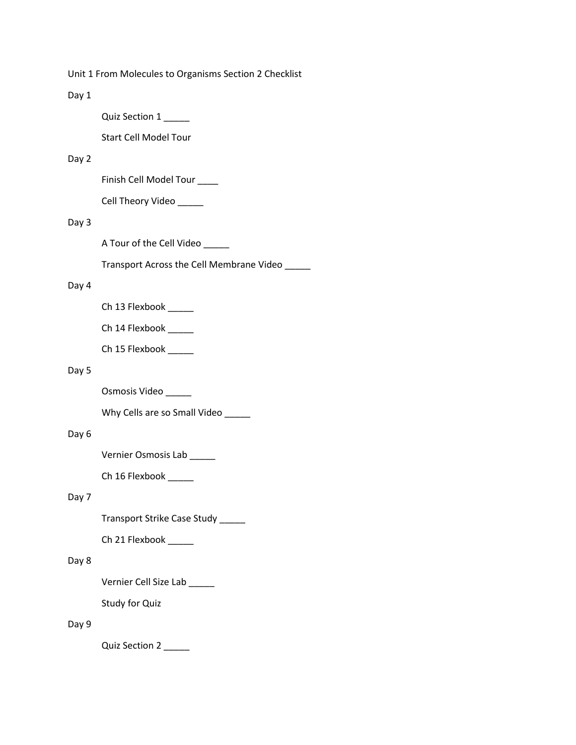Unit 1 From Molecules to Organisms Section 2 Checklist

Day 1

Quiz Section 1

Start Cell Model Tour

### Day 2

Finish Cell Model Tour \_\_\_\_

Cell Theory Video \_\_\_\_\_

# Day 3

A Tour of the Cell Video \_\_\_\_\_

Transport Across the Cell Membrane Video \_\_\_\_\_

# Day 4

Ch 13 Flexbook \_\_\_\_\_

Ch 14 Flexbook \_\_\_\_\_

Ch 15 Flexbook \_\_\_\_\_

#### Day 5

Osmosis Video \_\_\_\_\_

Why Cells are so Small Video \_\_\_\_\_

## Day 6

Vernier Osmosis Lab \_\_\_\_\_

Ch 16 Flexbook \_\_\_\_\_

# Day 7

Transport Strike Case Study \_\_\_\_\_

Ch 21 Flexbook \_\_\_\_\_

#### Day 8

Vernier Cell Size Lab \_\_\_\_\_

Study for Quiz

# Day 9

Quiz Section 2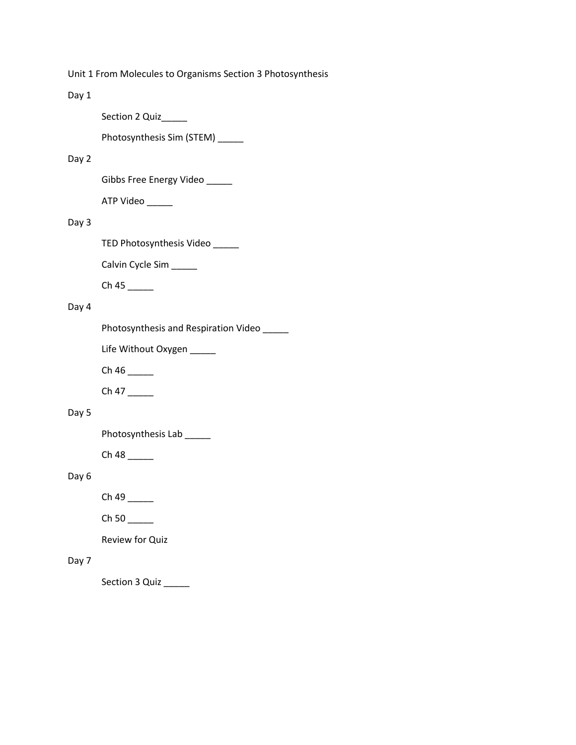Unit 1 From Molecules to Organisms Section 3 Photosynthesis

Day 1

Section 2 Quiz\_\_\_\_\_

Photosynthesis Sim (STEM) \_\_\_\_\_\_

### Day 2

Gibbs Free Energy Video \_\_\_\_\_

ATP Video \_\_\_\_\_

# Day 3

TED Photosynthesis Video \_\_\_\_\_

Calvin Cycle Sim \_\_\_\_\_

Ch 45 \_\_\_\_\_

# Day 4

Photosynthesis and Respiration Video \_\_\_\_\_

Life Without Oxygen \_\_\_\_\_

Ch 46

Ch 47

# Day 5

Photosynthesis Lab \_\_\_\_\_\_

Ch 48

# Day 6

Ch 49 \_\_\_\_\_

Ch 50

Review for Quiz

# Day 7

Section 3 Quiz \_\_\_\_\_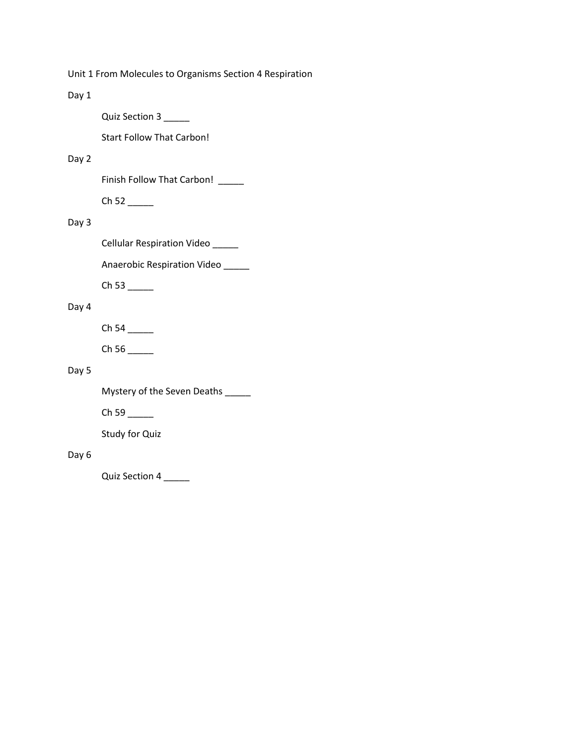Unit 1 From Molecules to Organisms Section 4 Respiration

Day 1

Quiz Section 3

Start Follow That Carbon!

# Day 2

Finish Follow That Carbon! \_\_\_\_\_

Ch 52 \_\_\_\_\_

# Day 3

Cellular Respiration Video \_\_\_\_\_

Anaerobic Respiration Video \_\_\_\_

Ch 53 \_\_\_\_\_

# Day 4

Ch 54 \_\_\_\_\_

Ch 56 \_\_\_\_\_\_

# Day 5

Mystery of the Seven Deaths \_\_\_\_\_

Ch 59 \_\_\_\_\_

Study for Quiz

# Day 6

Quiz Section 4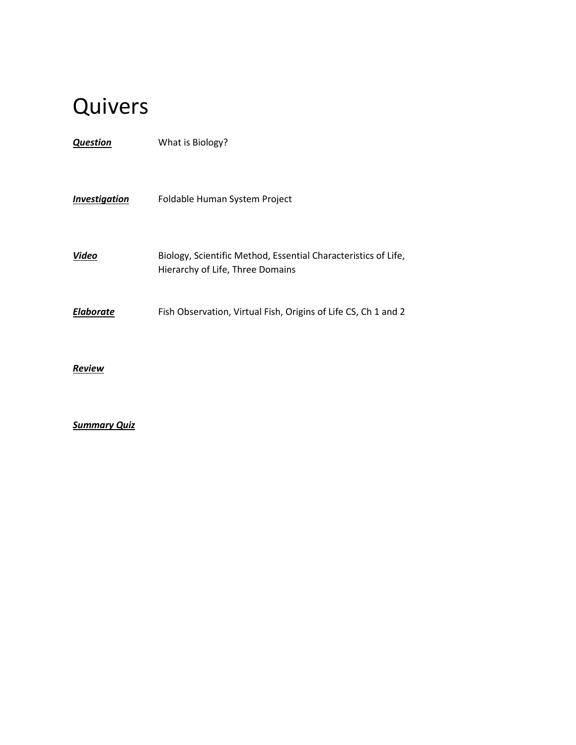*Question* What is Biology? *Investigation* Foldable Human System Project *Video* Biology, Scientific Method, Essential Characteristics of Life, Hierarchy of Life, Three Domains *Elaborate* Fish Observation, Virtual Fish, Origins of Life CS, Ch 1 and 2

*Review*

*Summary Quiz*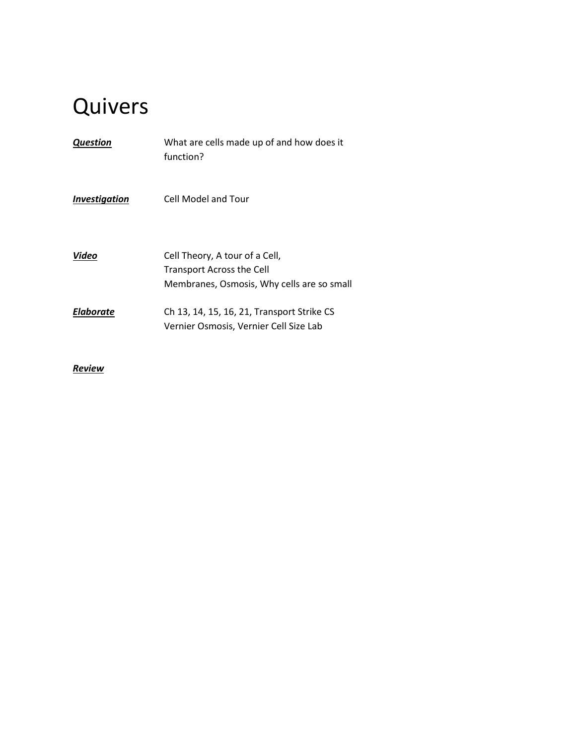| Question      | What are cells made up of and how does it<br>function?                                                           |
|---------------|------------------------------------------------------------------------------------------------------------------|
| Investigation | Cell Model and Tour                                                                                              |
| Video         | Cell Theory, A tour of a Cell,<br><b>Transport Across the Cell</b><br>Membranes, Osmosis, Why cells are so small |
| Elaborate     | Ch 13, 14, 15, 16, 21, Transport Strike CS<br>Vernier Osmosis, Vernier Cell Size Lab                             |

*Review*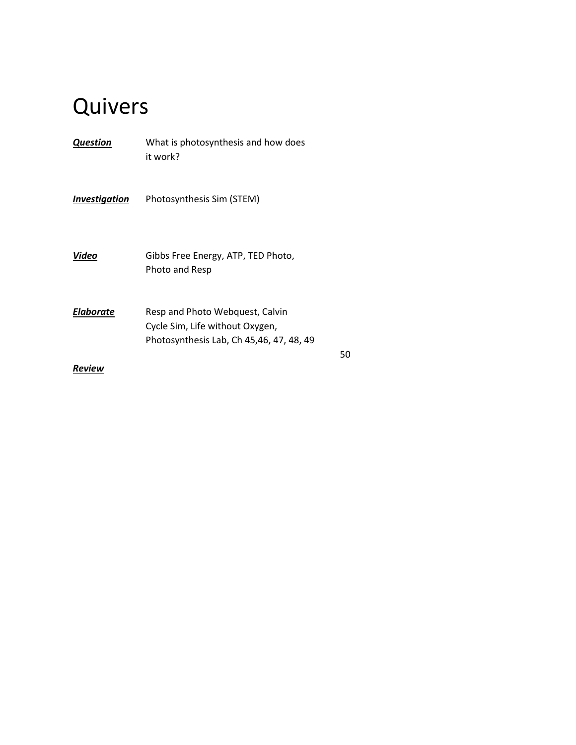| <b>Question</b>      | What is photosynthesis and how does<br>it work?                                                                |
|----------------------|----------------------------------------------------------------------------------------------------------------|
| <b>Investigation</b> | Photosynthesis Sim (STEM)                                                                                      |
| Video                | Gibbs Free Energy, ATP, TED Photo,<br>Photo and Resp                                                           |
| <b>Elaborate</b>     | Resp and Photo Webquest, Calvin<br>Cycle Sim, Life without Oxygen,<br>Photosynthesis Lab, Ch 45,46, 47, 48, 49 |
| Review               |                                                                                                                |

50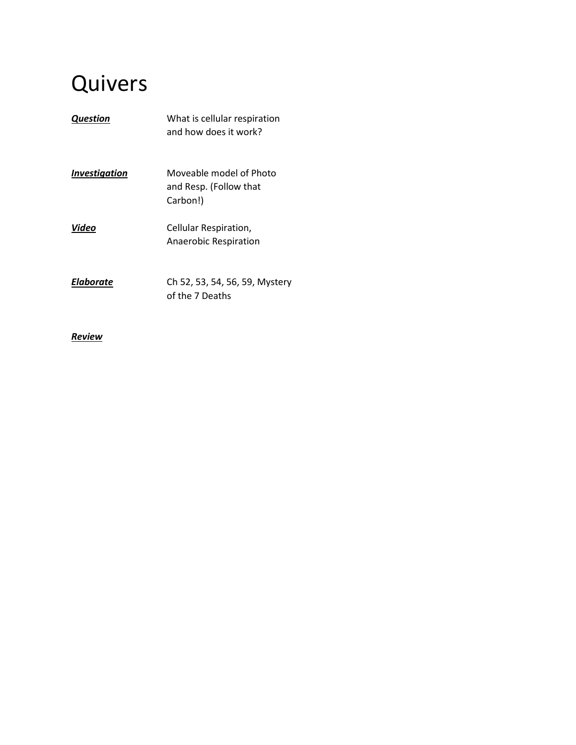| Question      | What is cellular respiration<br>and how does it work?         |
|---------------|---------------------------------------------------------------|
| Investigation | Moveable model of Photo<br>and Resp. (Follow that<br>Carbon!) |
| Video         | Cellular Respiration,<br><b>Anaerobic Respiration</b>         |
| Elaborate     | Ch 52, 53, 54, 56, 59, Mystery<br>of the 7 Deaths             |

*Review*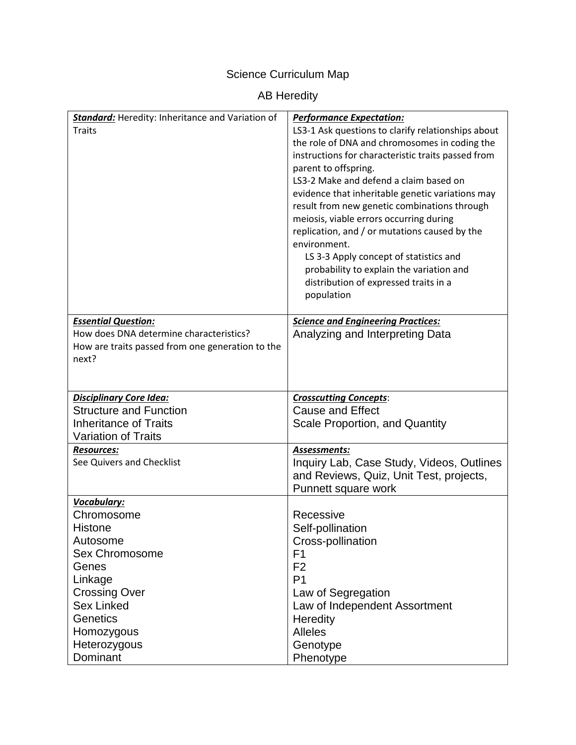# Science Curriculum Map

# AB Heredity

| <b>Standard:</b> Heredity: Inheritance and Variation of<br><b>Traits</b> | <b>Performance Expectation:</b><br>LS3-1 Ask questions to clarify relationships about<br>the role of DNA and chromosomes in coding the<br>instructions for characteristic traits passed from<br>parent to offspring.<br>LS3-2 Make and defend a claim based on<br>evidence that inheritable genetic variations may<br>result from new genetic combinations through<br>meiosis, viable errors occurring during<br>replication, and / or mutations caused by the<br>environment.<br>LS 3-3 Apply concept of statistics and<br>probability to explain the variation and<br>distribution of expressed traits in a<br>population |
|--------------------------------------------------------------------------|-----------------------------------------------------------------------------------------------------------------------------------------------------------------------------------------------------------------------------------------------------------------------------------------------------------------------------------------------------------------------------------------------------------------------------------------------------------------------------------------------------------------------------------------------------------------------------------------------------------------------------|
| <b>Essential Question:</b><br>How does DNA determine characteristics?    | <b>Science and Engineering Practices:</b><br>Analyzing and Interpreting Data                                                                                                                                                                                                                                                                                                                                                                                                                                                                                                                                                |
| How are traits passed from one generation to the<br>next?                |                                                                                                                                                                                                                                                                                                                                                                                                                                                                                                                                                                                                                             |
| <b>Disciplinary Core Idea:</b>                                           | <b>Crosscutting Concepts:</b>                                                                                                                                                                                                                                                                                                                                                                                                                                                                                                                                                                                               |
| <b>Structure and Function</b>                                            | <b>Cause and Effect</b>                                                                                                                                                                                                                                                                                                                                                                                                                                                                                                                                                                                                     |
| <b>Inheritance of Traits</b>                                             | Scale Proportion, and Quantity                                                                                                                                                                                                                                                                                                                                                                                                                                                                                                                                                                                              |
| Variation of Traits                                                      |                                                                                                                                                                                                                                                                                                                                                                                                                                                                                                                                                                                                                             |
| <b>Resources:</b><br>See Quivers and Checklist                           | Assessments:<br>Inquiry Lab, Case Study, Videos, Outlines<br>and Reviews, Quiz, Unit Test, projects,<br>Punnett square work                                                                                                                                                                                                                                                                                                                                                                                                                                                                                                 |
| Vocabulary:                                                              |                                                                                                                                                                                                                                                                                                                                                                                                                                                                                                                                                                                                                             |
| Chromosome<br>Histone                                                    | Recessive<br>Self-pollination                                                                                                                                                                                                                                                                                                                                                                                                                                                                                                                                                                                               |
| Autosome                                                                 | Cross-pollination                                                                                                                                                                                                                                                                                                                                                                                                                                                                                                                                                                                                           |
| Sex Chromosome                                                           | F <sub>1</sub>                                                                                                                                                                                                                                                                                                                                                                                                                                                                                                                                                                                                              |
| Genes                                                                    | F <sub>2</sub>                                                                                                                                                                                                                                                                                                                                                                                                                                                                                                                                                                                                              |
| Linkage                                                                  | P <sub>1</sub>                                                                                                                                                                                                                                                                                                                                                                                                                                                                                                                                                                                                              |
| <b>Crossing Over</b>                                                     | Law of Segregation                                                                                                                                                                                                                                                                                                                                                                                                                                                                                                                                                                                                          |
| <b>Sex Linked</b>                                                        | Law of Independent Assortment                                                                                                                                                                                                                                                                                                                                                                                                                                                                                                                                                                                               |
| Genetics                                                                 | Heredity                                                                                                                                                                                                                                                                                                                                                                                                                                                                                                                                                                                                                    |
| Homozygous                                                               | <b>Alleles</b><br>Genotype                                                                                                                                                                                                                                                                                                                                                                                                                                                                                                                                                                                                  |
| Heterozygous<br>Dominant                                                 |                                                                                                                                                                                                                                                                                                                                                                                                                                                                                                                                                                                                                             |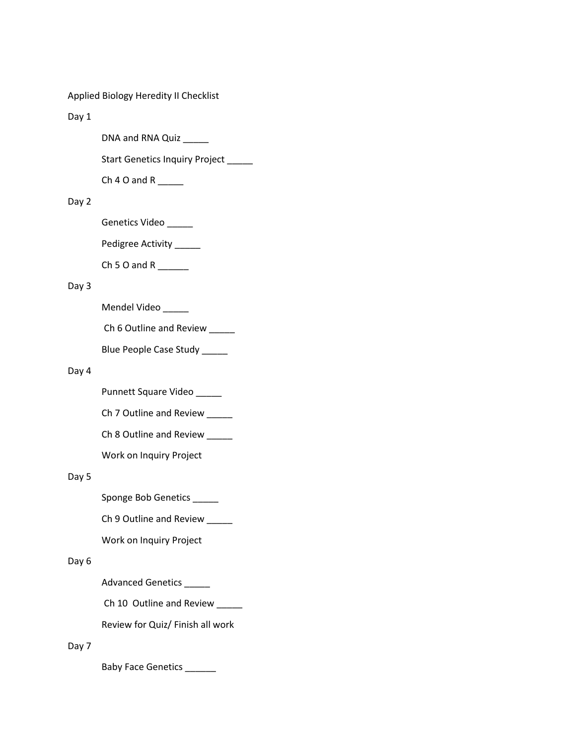Applied Biology Heredity II Checklist

Day 1

DNA and RNA Quiz \_\_\_\_\_\_

Start Genetics Inquiry Project \_\_\_\_\_

Ch  $4$  O and R \_\_\_\_\_\_

## Day 2

Genetics Video

Pedigree Activity \_\_\_\_

Ch 5 O and R  $\_\_\_\_\_\_\_\_\_\$ 

# Day 3

Mendel Video \_\_\_\_\_

Ch 6 Outline and Review \_\_\_\_\_

Blue People Case Study \_\_\_\_\_

### Day 4

Punnett Square Video \_\_\_\_

Ch 7 Outline and Review \_\_\_\_\_

Ch 8 Outline and Review \_\_\_\_\_

Work on Inquiry Project

### Day 5

Sponge Bob Genetics \_\_\_\_\_

Ch 9 Outline and Review \_\_\_\_\_

Work on Inquiry Project

#### Day 6

Advanced Genetics \_\_\_\_\_

Ch 10 Outline and Review \_\_\_\_\_

Review for Quiz/ Finish all work

### Day 7

Baby Face Genetics \_\_\_\_\_\_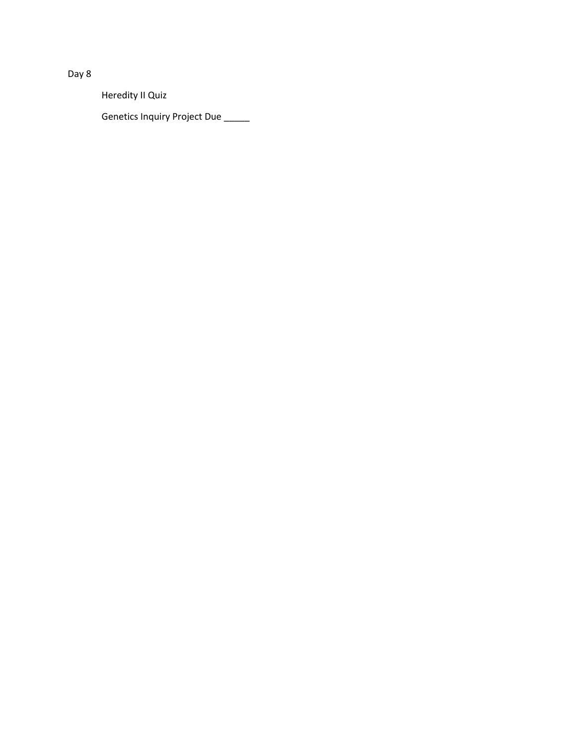Day 8

Heredity II Quiz

Genetics Inquiry Project Due \_\_\_\_\_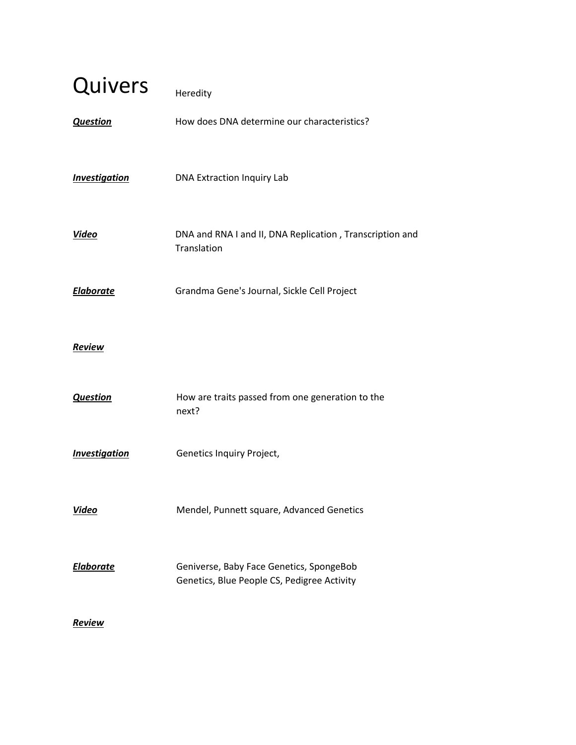| Quivers              | Heredity                                                                                |
|----------------------|-----------------------------------------------------------------------------------------|
| <b>Question</b>      | How does DNA determine our characteristics?                                             |
| <b>Investigation</b> | DNA Extraction Inquiry Lab                                                              |
| <b>Video</b>         | DNA and RNA I and II, DNA Replication, Transcription and<br>Translation                 |
| Elaborate            | Grandma Gene's Journal, Sickle Cell Project                                             |
| Review               |                                                                                         |
| <b>Question</b>      | How are traits passed from one generation to the<br>next?                               |
| <b>Investigation</b> | Genetics Inquiry Project,                                                               |
| Video                | Mendel, Punnett square, Advanced Genetics                                               |
| <b>Elaborate</b>     | Geniverse, Baby Face Genetics, SpongeBob<br>Genetics, Blue People CS, Pedigree Activity |
| <u>Review</u>        |                                                                                         |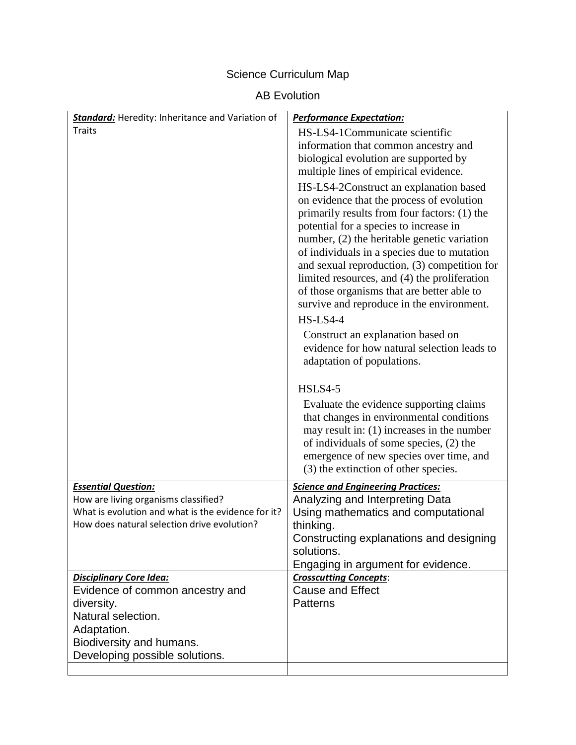# Science Curriculum Map

# AB Evolution

| <b>Standard:</b> Heredity: Inheritance and Variation of                                           | <b>Performance Expectation:</b>                                                            |
|---------------------------------------------------------------------------------------------------|--------------------------------------------------------------------------------------------|
| <b>Traits</b>                                                                                     | HS-LS4-1Communicate scientific                                                             |
|                                                                                                   | information that common ancestry and                                                       |
|                                                                                                   | biological evolution are supported by                                                      |
|                                                                                                   | multiple lines of empirical evidence.                                                      |
|                                                                                                   | HS-LS4-2Construct an explanation based                                                     |
|                                                                                                   | on evidence that the process of evolution                                                  |
|                                                                                                   | primarily results from four factors: (1) the                                               |
|                                                                                                   | potential for a species to increase in                                                     |
|                                                                                                   | number, (2) the heritable genetic variation                                                |
|                                                                                                   | of individuals in a species due to mutation                                                |
|                                                                                                   | and sexual reproduction, (3) competition for                                               |
|                                                                                                   | limited resources, and (4) the proliferation<br>of those organisms that are better able to |
|                                                                                                   | survive and reproduce in the environment.                                                  |
|                                                                                                   | <b>HS-LS4-4</b>                                                                            |
|                                                                                                   | Construct an explanation based on                                                          |
|                                                                                                   | evidence for how natural selection leads to                                                |
|                                                                                                   | adaptation of populations.                                                                 |
|                                                                                                   |                                                                                            |
|                                                                                                   | HSLS4-5                                                                                    |
|                                                                                                   | Evaluate the evidence supporting claims                                                    |
|                                                                                                   | that changes in environmental conditions                                                   |
|                                                                                                   | may result in: $(1)$ increases in the number                                               |
|                                                                                                   | of individuals of some species, (2) the                                                    |
|                                                                                                   | emergence of new species over time, and                                                    |
|                                                                                                   | (3) the extinction of other species.                                                       |
| <b>Essential Question:</b>                                                                        | <b>Science and Engineering Practices:</b>                                                  |
| How are living organisms classified?                                                              | Analyzing and Interpreting Data                                                            |
| What is evolution and what is the evidence for it?<br>How does natural selection drive evolution? | Using mathematics and computational<br>thinking.                                           |
|                                                                                                   | Constructing explanations and designing                                                    |
|                                                                                                   | solutions.                                                                                 |
|                                                                                                   | Engaging in argument for evidence.                                                         |
| <b>Disciplinary Core Idea:</b>                                                                    | <b>Crosscutting Concepts:</b>                                                              |
| Evidence of common ancestry and                                                                   | <b>Cause and Effect</b>                                                                    |
| diversity.                                                                                        | <b>Patterns</b>                                                                            |
| Natural selection.                                                                                |                                                                                            |
| Adaptation.                                                                                       |                                                                                            |
| Biodiversity and humans.                                                                          |                                                                                            |
| Developing possible solutions.                                                                    |                                                                                            |
|                                                                                                   |                                                                                            |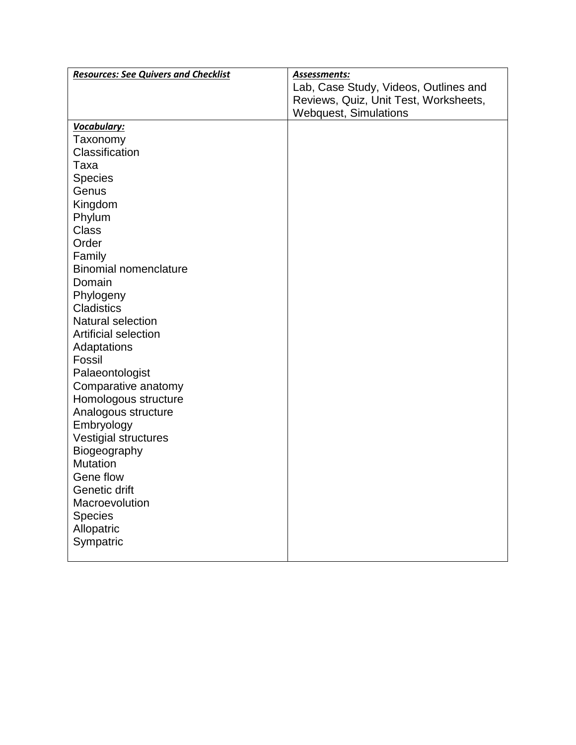| <b>Resources: See Quivers and Checklist</b> | Assessments:                          |
|---------------------------------------------|---------------------------------------|
|                                             | Lab, Case Study, Videos, Outlines and |
|                                             | Reviews, Quiz, Unit Test, Worksheets, |
|                                             | <b>Webquest, Simulations</b>          |
| Vocabulary:                                 |                                       |
| Taxonomy                                    |                                       |
| Classification                              |                                       |
| Taxa                                        |                                       |
| <b>Species</b>                              |                                       |
| Genus                                       |                                       |
| Kingdom                                     |                                       |
| Phylum                                      |                                       |
| <b>Class</b>                                |                                       |
| Order                                       |                                       |
| Family                                      |                                       |
| <b>Binomial nomenclature</b>                |                                       |
| Domain                                      |                                       |
| Phylogeny                                   |                                       |
| <b>Cladistics</b>                           |                                       |
| <b>Natural selection</b>                    |                                       |
| <b>Artificial selection</b>                 |                                       |
| Adaptations                                 |                                       |
| Fossil                                      |                                       |
| Palaeontologist                             |                                       |
| Comparative anatomy                         |                                       |
| Homologous structure                        |                                       |
| Analogous structure                         |                                       |
| Embryology                                  |                                       |
| Vestigial structures                        |                                       |
| Biogeography                                |                                       |
| <b>Mutation</b>                             |                                       |
| Gene flow                                   |                                       |
| Genetic drift                               |                                       |
| Macroevolution                              |                                       |
| <b>Species</b>                              |                                       |
| Allopatric                                  |                                       |
| Sympatric                                   |                                       |
|                                             |                                       |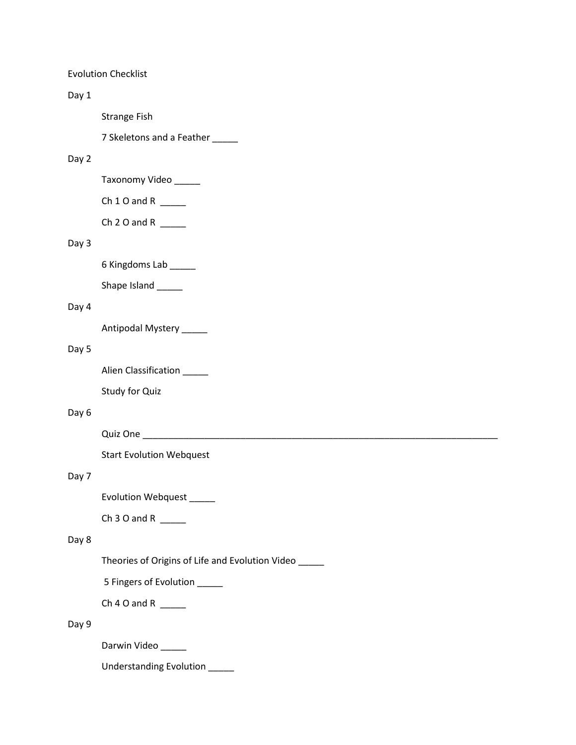Evolution Checklist

# Day 1

Strange Fish

7 Skeletons and a Feather \_\_\_\_\_\_

### Day 2

Taxonomy Video \_\_\_\_\_\_

Ch  $10$  and R \_\_\_\_\_\_\_

Ch 2 O and R  $\_\_\_\_\_\_\_\_\$ 

# Day 3

6 Kingdoms Lab \_\_\_\_\_

Shape Island \_\_\_\_\_\_

# Day 4

Antipodal Mystery \_\_\_\_\_

# Day 5

Alien Classification \_\_\_\_

Study for Quiz

### Day 6

Quiz One \_\_\_\_\_\_\_\_\_\_\_\_\_\_\_\_\_\_\_\_\_\_\_\_\_\_\_\_\_\_\_\_\_\_\_\_\_\_\_\_\_\_\_\_\_\_\_\_\_\_\_\_\_\_\_\_\_\_\_\_\_\_\_\_\_\_\_\_\_

Start Evolution Webquest

# Day 7

Evolution Webquest \_\_\_\_\_

# Ch 3 O and R  $\_\_\_\_\_\_\_\_\_\_\_\_\$

# Day 8

Theories of Origins of Life and Evolution Video \_\_\_\_\_

5 Fingers of Evolution \_\_\_\_\_

Ch  $4$  O and R \_\_\_\_\_\_\_

# Day 9

Darwin Video \_\_\_\_\_

Understanding Evolution \_\_\_\_\_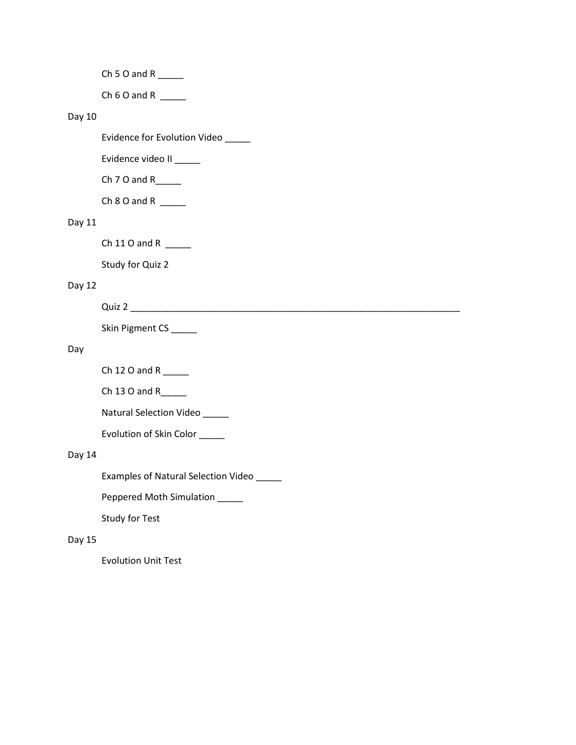Ch 5 O and R  $\_\_\_\_\_\_\_\$ 

Ch  $6$  O and R \_\_\_\_\_\_

# Day 10

Evidence for Evolution Video \_\_\_\_\_

Evidence video II \_\_\_\_\_

Ch  $7$  O and R\_\_\_\_\_\_

Ch  $8$  O and R \_\_\_\_\_\_\_

# Day 11

Ch 11 O and R \_\_\_\_\_

Study for Quiz 2

# Day 12

Quiz 2 \_\_\_\_\_\_\_\_\_\_\_\_\_\_\_\_\_\_\_\_\_\_\_\_\_\_\_\_\_\_\_\_\_\_\_\_\_\_\_\_\_\_\_\_\_\_\_\_\_\_\_\_\_\_\_\_\_\_\_\_\_\_\_\_

Skin Pigment CS \_\_\_\_\_

### Day

Ch 12 O and R \_\_\_\_\_

Ch 13 O and R\_\_\_\_\_

Natural Selection Video \_\_\_\_\_

Evolution of Skin Color \_\_\_\_\_

# Day 14

Examples of Natural Selection Video \_\_\_\_\_

Peppered Moth Simulation \_\_\_\_\_

Study for Test

### Day 15

Evolution Unit Test